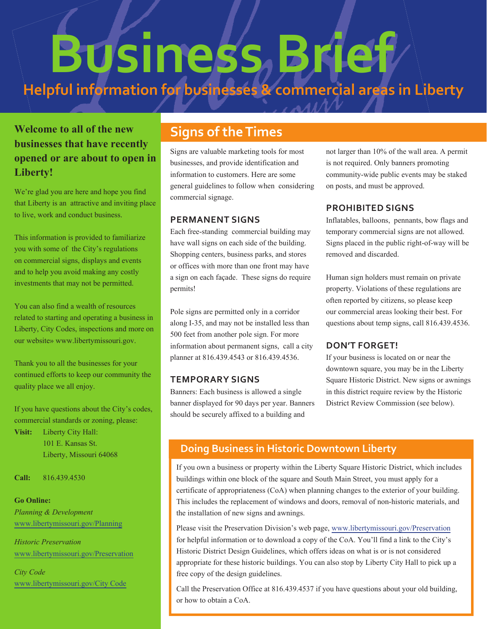# **Business Brief Helpful information for businesses & commercial areas in Liberty**

# **Welcome to all of the new businesses that have recently opened or are about to open in Liberty!**

We're glad you are here and hope you find that Liberty is an attractive and inviting place to live, work and conduct business.

This information is provided to familiarize you with some of the City's regulations on commercial signs, displays and events and to help you avoid making any costly investments that may not be permitted.

You can also find a wealth of resources related to starting and operating a business in Liberty, City Codes, inspections and more on our website» www.libertymissouri.gov.

Thank you to all the businesses for your continued efforts to keep our community the quality place we all enjoy.

If you have questions about the City's codes, commercial standards or zoning, please:

**Visit:** Liberty City Hall: 101 E. Kansas St. Liberty, Missouri 64068

**Call:** 816.439.4530

#### **Go Online:**

*Planning & Development* www.libertymissouri.gov/Planning

*Historic Preservation* www.libertymissouri.gov/Preservation

*City Code* www.libertymissouri.gov/City Code

# **Signs of the Times**

Signs are valuable marketing tools for most businesses, and provide identification and information to customers. Here are some general guidelines to follow when considering commercial signage.

## **PERMANENT SIGNS**

Each free-standing commercial building may have wall signs on each side of the building. Shopping centers, business parks, and stores or offices with more than one front may have a sign on each façade. These signs do require permits!

Pole signs are permitted only in a corridor along I-35, and may not be installed less than 500 feet from another pole sign. For more information about permanent signs, call a city planner at 816.439.4543 or 816.439.4536.

## **TEMPORARY SIGNS**

Banners: Each business is allowed a single banner displayed for 90 days per year. Banners should be securely affixed to a building and

not larger than 10% of the wall area. A permit is not required. Only banners promoting community-wide public events may be staked on posts, and must be approved.

## **PROHIBITED SIGNS**

Inflatables, balloons, pennants, bow flags and temporary commercial signs are not allowed. Signs placed in the public right-of-way will be removed and discarded.

Human sign holders must remain on private property. Violations of these regulations are often reported by citizens, so please keep our commercial areas looking their best. For questions about temp signs, call 816.439.4536.

## **DON'T FORGET!**

If your business is located on or near the downtown square, you may be in the Liberty Square Historic District. New signs or awnings in this district require review by the Historic District Review Commission (see below).

# **Doing Business in Historic Downtown Liberty**

If you own a business or property within the Liberty Square Historic District, which includes buildings within one block of the square and South Main Street, you must apply for a certificate of appropriateness (CoA) when planning changes to the exterior of your building. This includes the replacement of windows and doors, removal of non-historic materials, and the installation of new signs and awnings.

Please visit the Preservation Division's web page, www.libertymissouri.gov/Preservation for helpful information or to download a copy of the CoA. You'll find a link to the City's Historic District Design Guidelines, which offers ideas on what is or is not considered appropriate for these historic buildings. You can also stop by Liberty City Hall to pick up a free copy of the design guidelines.

Call the Preservation Office at 816.439.4537 if you have questions about your old building, or how to obtain a CoA.